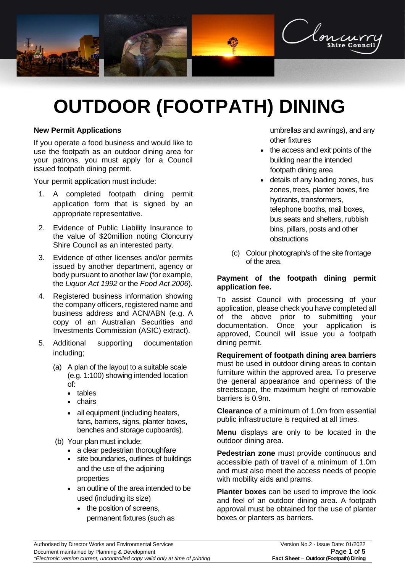

# **OUTDOOR (FOOTPATH) DINING**

# **New Permit Applications**

If you operate a food business and would like to use the footpath as an outdoor dining area for your patrons, you must apply for a Council issued footpath dining permit.

Your permit application must include:

- 1. A completed footpath dining permit application form that is signed by an appropriate representative.
- 2. Evidence of Public Liability Insurance to the value of \$20million noting Cloncurry Shire Council as an interested party.
- 3. Evidence of other licenses and/or permits issued by another department, agency or body pursuant to another law (for example, the *Liquor Act 1992* or the *Food Act 2006*).
- 4. Registered business information showing the company officers, registered name and business address and ACN/ABN (e.g. A copy of an Australian Securities and Investments Commission (ASIC) extract).
- 5. Additional supporting documentation including;
	- (a) A plan of the layout to a suitable scale (e.g. 1:100) showing intended location of:
		- tables
		- chairs
		- all equipment (including heaters, fans, barriers, signs, planter boxes, benches and storage cupboards).
	- (b) Your plan must include:
		- a clear pedestrian thoroughfare
		- site boundaries, outlines of buildings and the use of the adjoining properties
		- an outline of the area intended to be used (including its size)
			- the position of screens, permanent fixtures (such as

umbrellas and awnings), and any other fixtures

- the access and exit points of the building near the intended footpath dining area
- details of any loading zones, bus zones, trees, planter boxes, fire hydrants, transformers, telephone booths, mail boxes, bus seats and shelters, rubbish bins, pillars, posts and other obstructions
- (c) Colour photograph/s of the site frontage of the area.

#### **Payment of the footpath dining permit application fee.**

To assist Council with processing of your application, please check you have completed all of the above prior to submitting your documentation. Once your application is approved, Council will issue you a footpath dining permit.

**Requirement of footpath dining area barriers** must be used in outdoor dining areas to contain furniture within the approved area. To preserve the general appearance and openness of the streetscape, the maximum height of removable barriers is 0.9m.

**Clearance** of a minimum of 1.0m from essential public infrastructure is required at all times.

**Menu** displays are only to be located in the outdoor dining area.

**Pedestrian zone** must provide continuous and accessible path of travel of a minimum of 1.0m and must also meet the access needs of people with mobility aids and prams.

**Planter boxes** can be used to improve the look and feel of an outdoor dining area. A footpath approval must be obtained for the use of planter boxes or planters as barriers.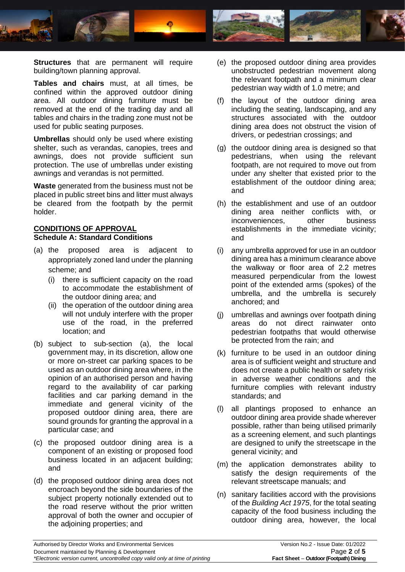

**Structures** that are permanent will require building/town planning approval.

**Tables and chairs** must, at all times, be confined within the approved outdoor dining area. All outdoor dining furniture must be removed at the end of the trading day and all tables and chairs in the trading zone must not be used for public seating purposes.

**Umbrellas** should only be used where existing shelter, such as verandas, canopies, trees and awnings, does not provide sufficient sun protection. The use of umbrellas under existing awnings and verandas is not permitted.

**Waste** generated from the business must not be placed in public street bins and litter must always be cleared from the footpath by the permit holder.

# **CONDITIONS OF APPROVAL Schedule A: Standard Conditions**

- (a) the proposed area is adjacent to appropriately zoned land under the planning scheme; and
	- (i) there is sufficient capacity on the road to accommodate the establishment of the outdoor dining area; and
	- (ii) the operation of the outdoor dining area will not unduly interfere with the proper use of the road, in the preferred location; and
- (b) subject to sub-section (a), the local government may, in its discretion, allow one or more on-street car parking spaces to be used as an outdoor dining area where, in the opinion of an authorised person and having regard to the availability of car parking facilities and car parking demand in the immediate and general vicinity of the proposed outdoor dining area, there are sound grounds for granting the approval in a particular case; and
- (c) the proposed outdoor dining area is a component of an existing or proposed food business located in an adjacent building; and
- (d) the proposed outdoor dining area does not encroach beyond the side boundaries of the subject property notionally extended out to the road reserve without the prior written approval of both the owner and occupier of the adjoining properties; and
- (e) the proposed outdoor dining area provides unobstructed pedestrian movement along the relevant footpath and a minimum clear pedestrian way width of 1.0 metre; and
- (f) the layout of the outdoor dining area including the seating, landscaping, and any structures associated with the outdoor dining area does not obstruct the vision of drivers, or pedestrian crossings; and
- (g) the outdoor dining area is designed so that pedestrians, when using the relevant footpath, are not required to move out from under any shelter that existed prior to the establishment of the outdoor dining area; and
- (h) the establishment and use of an outdoor dining area neither conflicts with, or inconveniences, other business establishments in the immediate vicinity; and
- (i) any umbrella approved for use in an outdoor dining area has a minimum clearance above the walkway or floor area of 2.2 metres measured perpendicular from the lowest point of the extended arms (spokes) of the umbrella, and the umbrella is securely anchored; and
- (j) umbrellas and awnings over footpath dining areas do not direct rainwater onto pedestrian footpaths that would otherwise be protected from the rain; and
- (k) furniture to be used in an outdoor dining area is of sufficient weight and structure and does not create a public health or safety risk in adverse weather conditions and the furniture complies with relevant industry standards; and
- (l) all plantings proposed to enhance an outdoor dining area provide shade wherever possible, rather than being utilised primarily as a screening element, and such plantings are designed to unify the streetscape in the general vicinity; and
- (m) the application demonstrates ability to satisfy the design requirements of the relevant streetscape manuals; and
- (n) sanitary facilities accord with the provisions of the *Building Act 1975*, for the total seating capacity of the food business including the outdoor dining area, however, the local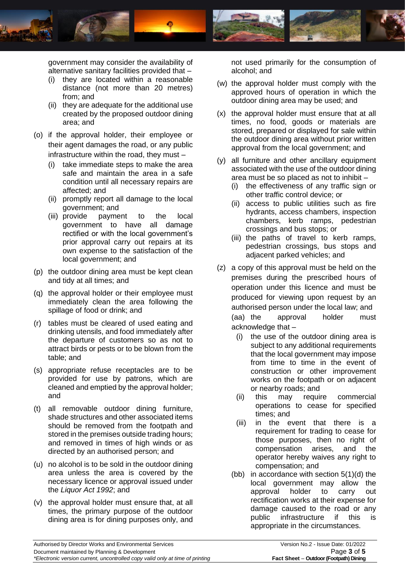

government may consider the availability of alternative sanitary facilities provided that –

- (i) they are located within a reasonable distance (not more than 20 metres) from; and
- (ii) they are adequate for the additional use created by the proposed outdoor dining area; and
- (o) if the approval holder, their employee or their agent damages the road, or any public infrastructure within the road, they must –
	- (i) take immediate steps to make the area safe and maintain the area in a safe condition until all necessary repairs are affected; and
	- (ii) promptly report all damage to the local government; and
	- (iii) provide payment to the local government to have all damage rectified or with the local government's prior approval carry out repairs at its own expense to the satisfaction of the local government; and
- (p) the outdoor dining area must be kept clean and tidy at all times; and
- (q) the approval holder or their employee must immediately clean the area following the spillage of food or drink; and
- (r) tables must be cleared of used eating and drinking utensils, and food immediately after the departure of customers so as not to attract birds or pests or to be blown from the table; and
- (s) appropriate refuse receptacles are to be provided for use by patrons, which are cleaned and emptied by the approval holder; and
- (t) all removable outdoor dining furniture, shade structures and other associated items should be removed from the footpath and stored in the premises outside trading hours; and removed in times of high winds or as directed by an authorised person; and
- (u) no alcohol is to be sold in the outdoor dining area unless the area is covered by the necessary licence or approval issued under the *Liquor Act 1992*; and
- (v) the approval holder must ensure that, at all times, the primary purpose of the outdoor dining area is for dining purposes only, and

not used primarily for the consumption of alcohol; and

- (w) the approval holder must comply with the approved hours of operation in which the outdoor dining area may be used; and
- (x) the approval holder must ensure that at all times, no food, goods or materials are stored, prepared or displayed for sale within the outdoor dining area without prior written approval from the local government; and
- (y) all furniture and other ancillary equipment associated with the use of the outdoor dining area must be so placed as not to inhibit –
	- (i) the effectiveness of any traffic sign or other traffic control device; or
	- (ii) access to public utilities such as fire hydrants, access chambers, inspection chambers, kerb ramps, pedestrian crossings and bus stops; or
	- (iii) the paths of travel to kerb ramps, pedestrian crossings, bus stops and adjacent parked vehicles; and
- (z) a copy of this approval must be held on the premises during the prescribed hours of operation under this licence and must be produced for viewing upon request by an authorised person under the local law; and (aa) the approval holder must acknowledge that –
	- (i) the use of the outdoor dining area is subject to any additional requirements that the local government may impose from time to time in the event of construction or other improvement works on the footpath or on adjacent or nearby roads; and
	- (ii) this may require commercial operations to cease for specified times; and
	- (iii) in the event that there is a requirement for trading to cease for those purposes, then no right of compensation arises, and the operator hereby waives any right to compensation; and
	- (bb) in accordance with section 5(1)(d) the local government may allow the approval holder to carry out rectification works at their expense for damage caused to the road or any public infrastructure if this is appropriate in the circumstances.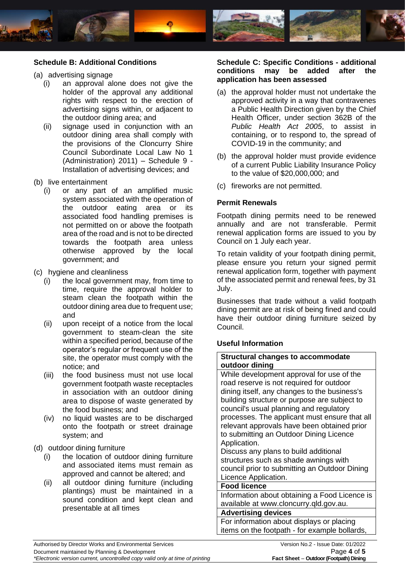

# **Schedule B: Additional Conditions**

- (a) advertising signage
	- (i) an approval alone does not give the holder of the approval any additional rights with respect to the erection of advertising signs within, or adjacent to the outdoor dining area; and
	- (ii) signage used in conjunction with an outdoor dining area shall comply with the provisions of the Cloncurry Shire Council Subordinate Local Law No 1 (Administration) 2011) – Schedule 9 - Installation of advertising devices; and
- (b) live entertainment
	- (i) or any part of an amplified music system associated with the operation of the outdoor eating area or its associated food handling premises is not permitted on or above the footpath area of the road and is not to be directed towards the footpath area unless otherwise approved by the local government; and
- (c) hygiene and cleanliness
	- (i) the local government may, from time to time, require the approval holder to steam clean the footpath within the outdoor dining area due to frequent use; and
	- (ii) upon receipt of a notice from the local government to steam-clean the site within a specified period, because of the operator's regular or frequent use of the site, the operator must comply with the notice; and
	- (iii) the food business must not use local government footpath waste receptacles in association with an outdoor dining area to dispose of waste generated by the food business; and
	- (iv) no liquid wastes are to be discharged onto the footpath or street drainage system; and
- (d) outdoor dining furniture
	- (i) the location of outdoor dining furniture and associated items must remain as approved and cannot be altered; and
	- (ii) all outdoor dining furniture (including plantings) must be maintained in a sound condition and kept clean and presentable at all times

### **Schedule C: Specific Conditions - additional conditions may be added after the application has been assessed**

- (a) the approval holder must not undertake the approved activity in a way that contravenes a Public Health Direction given by the Chief Health Officer, under section 362B of the *Public Health Act 2005*, to assist in containing, or to respond to, the spread of COVID-19 in the community; and
- (b) the approval holder must provide evidence of a current Public Liability Insurance Policy to the value of \$20,000,000; and
- (c) fireworks are not permitted.

# **Permit Renewals**

Footpath dining permits need to be renewed annually and are not transferable. Permit renewal application forms are issued to you by Council on 1 July each year.

To retain validity of your footpath dining permit, please ensure you return your signed permit renewal application form, together with payment of the associated permit and renewal fees, by 31 July.

Businesses that trade without a valid footpath dining permit are at risk of being fined and could have their outdoor dining furniture seized by Council.

#### **Useful Information**

#### **Structural changes to accommodate outdoor dining**

While development approval for use of the road reserve is not required for outdoor dining itself, any changes to the business's building structure or purpose are subject to council's usual planning and regulatory processes. The applicant must ensure that all relevant approvals have been obtained prior to submitting an Outdoor Dining Licence Application.

Discuss any plans to build additional structures such as shade awnings with council prior to submitting an Outdoor Dining Licence Application.

#### **Food licence**

Information about obtaining a Food Licence is available at [www.cloncurry.qld.gov.au.](http://www.cloncurry.qld.gov.au/)

#### **Advertising devices**

For information about displays or placing items on the footpath - for example bollards,